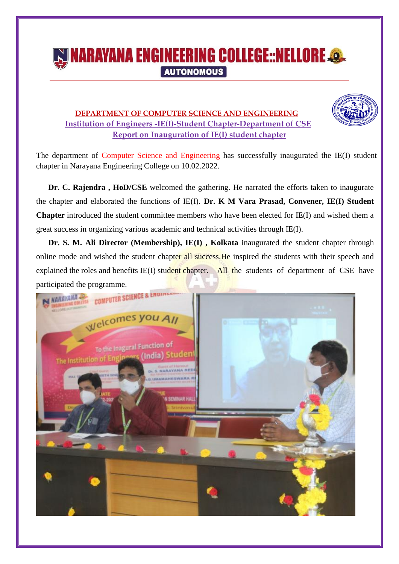#### **IARAYANA ENGINEERING COLLEGE::NELLORE @ AUTONOMOUS**

#### **DEPARTMENT OF COMPUTER SCIENCE AND ENGINEERING Institution of Engineers -IE(I)-Student Chapter-Department of CSE Report on Inauguration of IE(I) student chapter**



The department of Computer Science and Engineering has successfully inaugurated the IE(I) student chapter in Narayana Engineering College on 10.02.2022.

**Dr. C. Rajendra , HoD/CSE** welcomed the gathering. He narrated the efforts taken to inaugurate the chapter and elaborated the functions of IE(I). **Dr. K M Vara Prasad, Convener, IE(I) Student Chapter** introduced the student committee members who have been elected for IE(I) and wished them a great success in organizing various academic and technical activities through IE(I).

**Dr. S. M. Ali Director (Membership), IE(I) , Kolkata** inaugurated the student chapter through online mode and wished the student chapter all success. He inspired the students with their speech and explained the roles and benefits IE(I) student chapter. All the students of department of CSE have

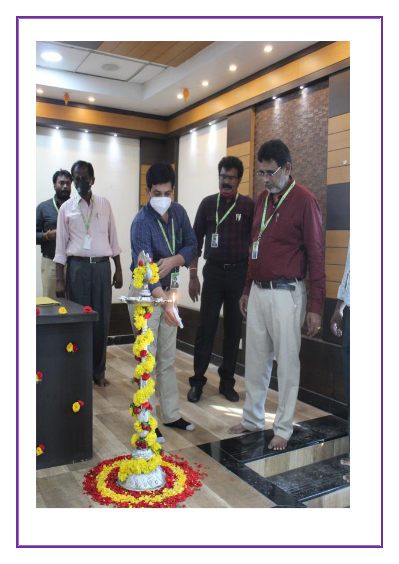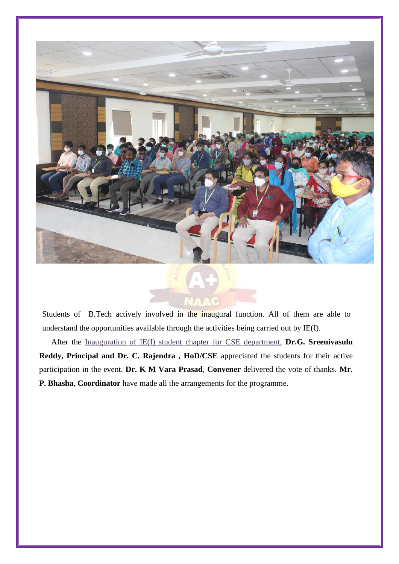

Students of B.Tech actively involved in the inaugural function. All of them are able to understand the opportunities available through the activities being carried out by IE(I).

**NAAC** 

After the Inauguration of IE(I) student chapter for CSE department, **Dr.G. Sreenivasulu Reddy, Principal and Dr. C. Rajendra , HoD/CSE** appreciated the students for their active participation in the event. **Dr. K M Vara Prasad**, **Convener** delivered the vote of thanks. **Mr. P. Bhasha**, **Coordinator** have made all the arrangements for the programme.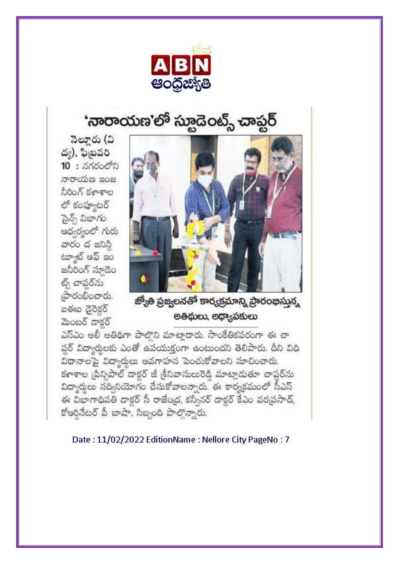

### 'నారాయణ'లో స్తూడెంట్స్ చాప్టర్

సెలూ్ర (వి ద్య), ఫిబ్రవరి 10: నగరంలోని నారాయణ ఇంజ నీరింగ్ కళాశాల లో కంహ్యటర్ సైన్స్ విభాగం ఆధ్వర్యంలో గురు వారం ద ఇనిసి ట్యూట్ ఆఫ్ ఇం జనీరింగ్ స్టూడెం ట్స్ చాప్షర్ను (పారంభించారు. හජෘත යුරිජුරි మెంబర్ డాకర్



జ్యోతి ప్రజ్వలనతో కార్యక్రమాన్ని ప్రారంభిస్తున్న అతిథులు, అధ్యాపకులు

ఎస్ఎం అలీ అతిథిగా పాల్గొని మాట్లాడారు. సాంకేతికపరంగా ఈ చా వ్లర్ విద్యార్థులకు ఎంతో ఉపయుక్తంగా ఉంటుందని తెలిపారు. దీని విధి విధానాలపై విద్యార్థులు అవగాహన పెంచుకోవాలని సూచించారు. కళాశాల (పిన్నిపాల్ డాక్టర్ జీ శ్రీనివాసులురెడ్డి మాట్లాడుతూ చాప్టర్ను విద్యార్మలు సద్వినియోగం చేసుకోవాలన్నారు. ఈ కార్యక్రమంలో సీఎస్ ఈ విభాగాధిపతి డాక్టర్ సీ రాజేంద్ర, కస్వీనర్ డాక్టర్ కేఎం వర్నపసాద్, కోఆర్షినేటర్ పీ బాషా, సిబ్బంది పాల్గొన్నారు.

Date: 11/02/2022 EditionName: Nellore City PageNo: 7